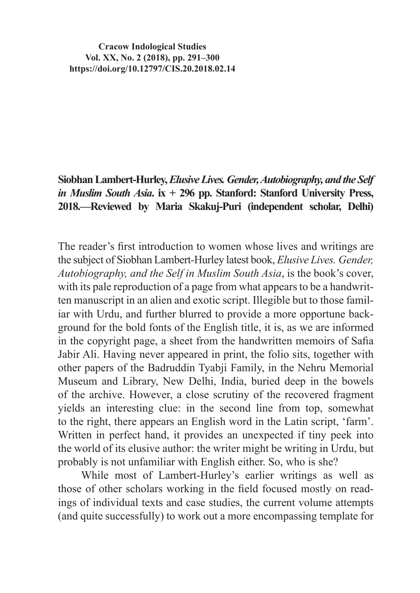**Cracow Indological Studies Vol. XX, No. 2 (2018), pp. 291–300 https://doi.org/10.12797/CIS.20.2018.02.14**

## **Siobhan Lambert-Hurley,** *Elusive Lives. Gender, Autobiography, and the Self in Muslim South Asia***. ix + 296 pp. Stanford: Stanford University Press, 2018.—Reviewed by Maria Skakuj-Puri (independent scholar, Delhi)**

The reader's first introduction to women whose lives and writings are the subject of Siobhan Lambert-Hurley latest book, *Elusive Lives. Gender, Autobiography, and the Self in Muslim South Asia*, is the book's cover, with its pale reproduction of a page from what appears to be a handwritten manuscript in an alien and exotic script. Illegible but to those familiar with Urdu, and further blurred to provide a more opportune background for the bold fonts of the English title, it is, as we are informed in the copyright page, a sheet from the handwritten memoirs of Safia Jabir Ali. Having never appeared in print, the folio sits, together with other papers of the Badruddin Tyabji Family, in the Nehru Memorial Museum and Library, New Delhi, India, buried deep in the bowels of the archive. However, a close scrutiny of the recovered fragment yields an interesting clue: in the second line from top, somewhat to the right, there appears an English word in the Latin script, 'farm'. Written in perfect hand, it provides an unexpected if tiny peek into the world of its elusive author: the writer might be writing in Urdu, but probably is not unfamiliar with English either. So, who is she?

While most of Lambert-Hurley's earlier writings as well as those of other scholars working in the field focused mostly on readings of individual texts and case studies, the current volume attempts (and quite successfully) to work out a more encompassing template for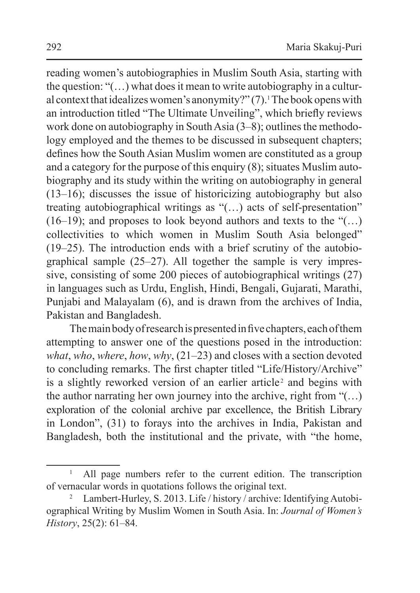reading women's autobiographies in Muslim South Asia, starting with the question: " $($ ...) what does it mean to write autobiography in a cultural context that idealizes women's anonymity?" $(7)$ . The book opens with an introduction titled "The Ultimate Unveiling", which briefly reviews work done on autobiography in South Asia  $(3-8)$ ; outlines the methodology employed and the themes to be discussed in subsequent chapters; defines how the South Asian Muslim women are constituted as a group and a category for the purpose of this enquiry  $(8)$ ; situates Muslim autobiography and its study within the writing on autobiography in general (13–16); discusses the issue of historicizing autobiography but also treating autobiographical writings as "(…) acts of self-presentation"  $(16-19)$ ; and proposes to look beyond authors and texts to the " $(...)$ collectivities to which women in Muslim South Asia belonged" (19–25). The introduction ends with a brief scrutiny of the autobiographical sample (25–27). All together the sample is very impressive, consisting of some 200 pieces of autobiographical writings (27) in languages such as Urdu, English, Hindi, Bengali, Gujarati, Marathi, Punjabi and Malayalam (6), and is drawn from the archives of India, Pakistan and Bangladesh.

The main body of research is presented in five chapters, each of them attempting to answer one of the questions posed in the introduction: *what*, *who*, *where*, *how*, *why*, (21–23) and closes with a section devoted to concluding remarks. The first chapter titled "Life/History/Archive" is a slightly reworked version of an earlier article<sup>2</sup> and begins with the author narrating her own journey into the archive, right from  $\cdot$ ...) exploration of the colonial archive par excellence, the British Library in London", (31) to forays into the archives in India, Pakistan and Bangladesh, both the institutional and the private, with "the home,

<sup>1</sup> All page numbers refer to the current edition. The transcription of vernacular words in quotations follows the original text.

Lambert-Hurley, S. 2013. Life / history / archive: Identifying Autobiographical Writing by Muslim Women in South Asia. In: *Journal of Women's History*, 25(2): 61–84.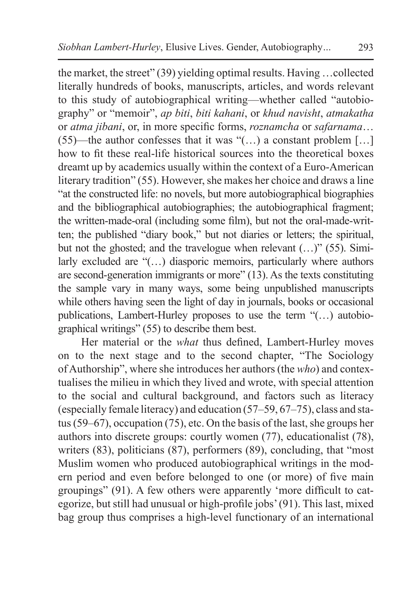the market, the street" (39) yielding optimal results. Having …collected literally hundreds of books, manuscripts, articles, and words relevant to this study of autobiographical writing—whether called "autobiography" or "memoir", *ap biti*, *biti kahani*, or *khud navisht*, *atmakatha* or *atma jibani*, or, in more specific forms, *roznamcha* or *safarnama*… (55)—the author confesses that it was " $(...)$  a constant problem [...] how to fit these real-life historical sources into the theoretical boxes dreamt up by academics usually within the context of a Euro-American literary tradition" (55). However, she makes her choice and draws a line "at the constructed life: no novels, but more autobiographical biographies and the bibliographical autobiographies; the autobiographical fragment; the written-made-oral (including some film), but not the oral-made-written; the published "diary book," but not diaries or letters; the spiritual, but not the ghosted; and the travelogue when relevant (...)" (55). Similarly excluded are "(…) diasporic memoirs, particularly where authors are second-generation immigrants or more" (13). As the texts constituting the sample vary in many ways, some being unpublished manuscripts while others having seen the light of day in journals, books or occasional publications, Lambert-Hurley proposes to use the term "(…) autobiographical writings" (55) to describe them best.

Her material or the *what* thus defined, Lambert-Hurley moves on to the next stage and to the second chapter, "The Sociology of Authorship", where she introduces her authors (the *who*) and contextualises the milieu in which they lived and wrote, with special attention to the social and cultural background, and factors such as literacy (especially female literacy) and education (57–59, 67–75), class and status (59–67), occupation (75), etc. On the basis of the last, she groups her authors into discrete groups: courtly women (77), educationalist (78), writers (83), politicians (87), performers (89), concluding, that "most Muslim women who produced autobiographical writings in the modern period and even before belonged to one (or more) of five main groupings" (91). A few others were apparently 'more difficult to categorize, but still had unusual or high-profile jobs'(91). This last, mixed bag group thus comprises a high-level functionary of an international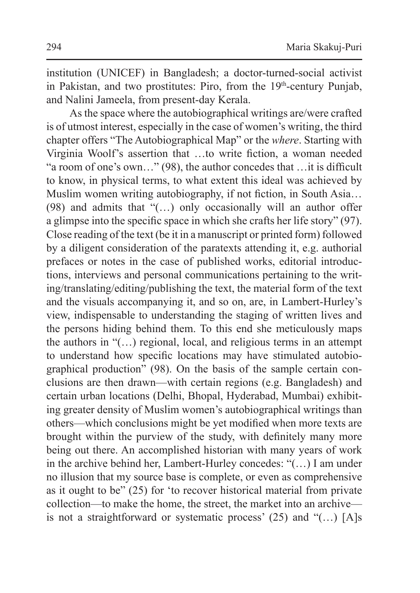institution (UNICEF) in Bangladesh; a doctor-turned-social activist in Pakistan, and two prostitutes: Piro, from the 19<sup>th</sup>-century Punjab, and Nalini Jameela, from present-day Kerala.

As the space where the autobiographical writings are/were crafted is of utmost interest, especially in the case of women's writing, the third chapter offers "The Autobiographical Map" or the *where*. Starting with Virginia Woolf's assertion that …to write fiction, a woman needed "a room of one's own…" (98), the author concedes that …it is difficult to know, in physical terms, to what extent this ideal was achieved by Muslim women writing autobiography, if not fiction, in South Asia… (98) and admits that "(…) only occasionally will an author offer a glimpse into the specific space in which she crafts her life story" (97). Close reading of the text (be it in a manuscript or printed form) followed by a diligent consideration of the paratexts attending it, e.g. authorial prefaces or notes in the case of published works, editorial introductions, interviews and personal communications pertaining to the writing/translating/editing/publishing the text, the material form of the text and the visuals accompanying it, and so on, are, in Lambert-Hurley's view, indispensable to understanding the staging of written lives and the persons hiding behind them. To this end she meticulously maps the authors in "(…) regional, local, and religious terms in an attempt to understand how specific locations may have stimulated autobiographical production" (98). On the basis of the sample certain conclusions are then drawn—with certain regions (e.g. Bangladesh) and certain urban locations (Delhi, Bhopal, Hyderabad, Mumbai) exhibiting greater density of Muslim women's autobiographical writings than others—which conclusions might be yet modified when more texts are brought within the purview of the study, with definitely many more being out there. An accomplished historian with many years of work in the archive behind her, Lambert-Hurley concedes: "(…) I am under no illusion that my source base is complete, or even as comprehensive as it ought to be" (25) for 'to recover historical material from private collection—to make the home, the street, the market into an archive is not a straightforward or systematic process' (25) and "(…) [A]s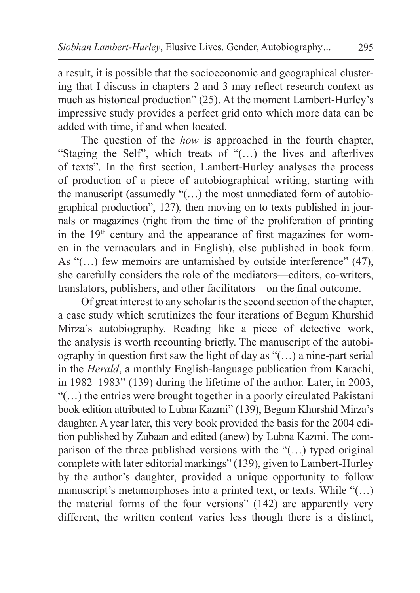a result, it is possible that the socioeconomic and geographical clustering that I discuss in chapters 2 and 3 may reflect research context as much as historical production" (25). At the moment Lambert-Hurley's impressive study provides a perfect grid onto which more data can be added with time, if and when located.

The question of the *how* is approached in the fourth chapter, "Staging the Self", which treats of "(…) the lives and afterlives of texts". In the first section, Lambert-Hurley analyses the process of production of a piece of autobiographical writing, starting with the manuscript (assumedly "(…) the most unmediated form of autobiographical production", 127), then moving on to texts published in journals or magazines (right from the time of the proliferation of printing in the  $19<sup>th</sup>$  century and the appearance of first magazines for women in the vernaculars and in English), else published in book form. As "(...) few memoirs are untarnished by outside interference" (47), she carefully considers the role of the mediators—editors, co-writers, translators, publishers, and other facilitators—on the final outcome.

Of great interest to any scholar isthe second section of the chapter, a case study which scrutinizes the four iterations of Begum Khurshid Mirza's autobiography. Reading like a piece of detective work, the analysis is worth recounting briefly. The manuscript of the autobiography in question first saw the light of day as "(…) a nine-part serial in the *Herald*, a monthly English-language publication from Karachi, in 1982–1983" (139) during the lifetime of the author. Later, in 2003, "(…) the entries were brought together in a poorly circulated Pakistani book edition attributed to Lubna Kazmi" (139), Begum Khurshid Mirza's daughter. A year later, this very book provided the basis for the 2004 edition published by Zubaan and edited (anew) by Lubna Kazmi. The comparison of the three published versions with the "(…) typed original complete with later editorial markings" (139), given to Lambert-Hurley by the author's daughter, provided a unique opportunity to follow manuscript's metamorphoses into a printed text, or texts. While "(…) the material forms of the four versions" (142) are apparently very different, the written content varies less though there is a distinct,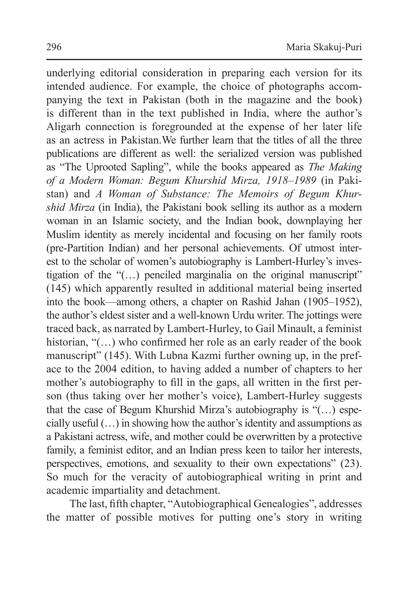underlying editorial consideration in preparing each version for its intended audience. For example, the choice of photographs accompanying the text in Pakistan (both in the magazine and the book) is different than in the text published in India, where the author's Aligarh connection is foregrounded at the expense of her later life as an actress in Pakistan.We further learn that the titles of all the three publications are different as well: the serialized version was published as "The Uprooted Sapling", while the books appeared as *The Making of a Modern Woman: Begum Khurshid Mirza, 1918–1989* (in Pakistan) and *A Woman of Substance: The Memoirs of Begum Khurshid Mirza* (in India), the Pakistani book selling its author as a modern woman in an Islamic society, and the Indian book, downplaying her Muslim identity as merely incidental and focusing on her family roots (pre-Partition Indian) and her personal achievements. Of utmost interest to the scholar of women's autobiography is Lambert-Hurley's investigation of the  $\lq($ ...) penciled marginalia on the original manuscript $\lq$ (145) which apparently resulted in additional material being inserted into the book—among others, a chapter on Rashid Jahan (1905–1952), the author's eldest sister and a well-known Urdu writer. The jottings were traced back, as narrated by Lambert-Hurley, to Gail Minault, a feminist historian, "(...) who confirmed her role as an early reader of the book manuscript" (145). With Lubna Kazmi further owning up, in the preface to the 2004 edition, to having added a number of chapters to her mother's autobiography to fill in the gaps, all written in the first person (thus taking over her mother's voice), Lambert-Hurley suggests that the case of Begum Khurshid Mirza's autobiography is "(…) especially useful  $(...)$  in showing how the author's identity and assumptions as a Pakistani actress, wife, and mother could be overwritten by a protective family, a feminist editor, and an Indian press keen to tailor her interests, perspectives, emotions, and sexuality to their own expectations" (23). So much for the veracity of autobiographical writing in print and academic impartiality and detachment.

The last, fifth chapter, "Autobiographical Genealogies", addresses the matter of possible motives for putting one's story in writing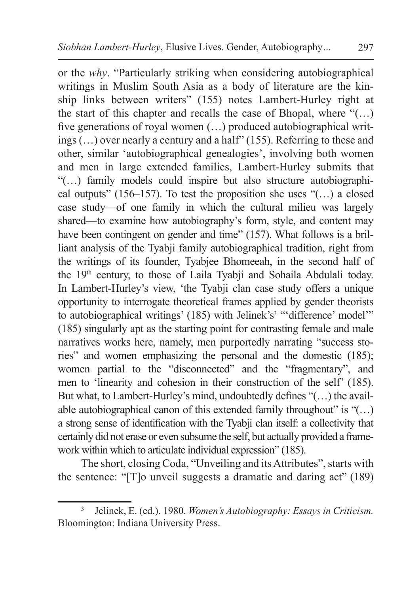or the *why*. "Particularly striking when considering autobiographical writings in Muslim South Asia as a body of literature are the kinship links between writers" (155) notes Lambert-Hurley right at the start of this chapter and recalls the case of Bhopal, where "(…) five generations of royal women (…) produced autobiographical writings (…) over nearly a century and a half" (155). Referring to these and other, similar 'autobiographical genealogies', involving both women and men in large extended families, Lambert-Hurley submits that "(…) family models could inspire but also structure autobiographical outputs" (156–157). To test the proposition she uses " $\dots$ ) a closed case study—of one family in which the cultural milieu was largely shared—to examine how autobiography's form, style, and content may have been contingent on gender and time" (157). What follows is a brilliant analysis of the Tyabji family autobiographical tradition, right from the writings of its founder, Tyabjee Bhomeeah, in the second half of the 19th century, to those of Laila Tyabji and Sohaila Abdulali today. In Lambert-Hurley's view, 'the Tyabji clan case study offers a unique opportunity to interrogate theoretical frames applied by gender theorists to autobiographical writings' (185) with Jelinek's<sup>3</sup> "'difference' model'" (185) singularly apt as the starting point for contrasting female and male narratives works here, namely, men purportedly narrating "success stories" and women emphasizing the personal and the domestic (185); women partial to the "disconnected" and the "fragmentary", and men to 'linearity and cohesion in their construction of the self' (185). But what, to Lambert-Hurley's mind, undoubtedly defines "(…) the available autobiographical canon of this extended family throughout" is " $(...)$ a strong sense of identification with the Tyabji clan itself: a collectivity that certainly did not erase or even subsume the self, but actually provided a frame-

work within which to articulate individual expression" (185). The short, closing Coda, "Unveiling and its Attributes", starts with the sentence: "[T]o unveil suggests a dramatic and daring act" (189)

<sup>3</sup> Jelinek, E. (ed.). 1980. *Women's Autobiography: Essays in Criticism.* Bloomington: Indiana University Press.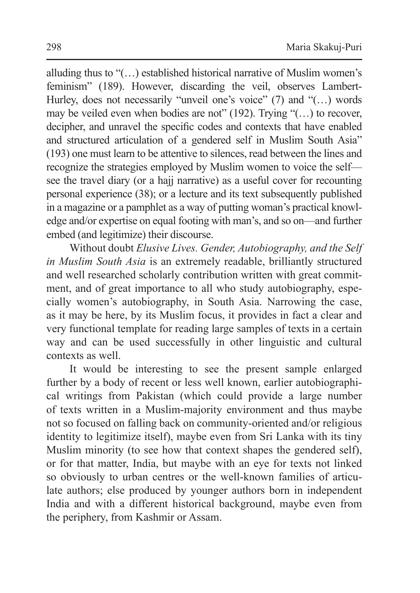alluding thus to "(…) established historical narrative of Muslim women's feminism" (189). However, discarding the veil, observes Lambert-Hurley, does not necessarily "unveil one's voice" (7) and "(...) words may be veiled even when bodies are not" (192). Trying "(…) to recover, decipher, and unravel the specific codes and contexts that have enabled and structured articulation of a gendered self in Muslim South Asia" (193) one must learn to be attentive to silences, read between the lines and recognize the strategies employed by Muslim women to voice the self see the travel diary (or a hajj narrative) as a useful cover for recounting personal experience (38); or a lecture and its text subsequently published in a magazine or a pamphlet as a way of putting woman's practical knowledge and/or expertise on equal footing with man's, and so on—and further embed (and legitimize) their discourse.

Without doubt *Elusive Lives. Gender, Autobiography, and the Self in Muslim South Asia* is an extremely readable, brilliantly structured and well researched scholarly contribution written with great commitment, and of great importance to all who study autobiography, especially women's autobiography, in South Asia. Narrowing the case, as it may be here, by its Muslim focus, it provides in fact a clear and very functional template for reading large samples of texts in a certain way and can be used successfully in other linguistic and cultural contexts as well.

It would be interesting to see the present sample enlarged further by a body of recent or less well known, earlier autobiographical writings from Pakistan (which could provide a large number of texts written in a Muslim-majority environment and thus maybe not so focused on falling back on community-oriented and/or religious identity to legitimize itself), maybe even from Sri Lanka with its tiny Muslim minority (to see how that context shapes the gendered self), or for that matter, India, but maybe with an eye for texts not linked so obviously to urban centres or the well-known families of articulate authors; else produced by younger authors born in independent India and with a different historical background, maybe even from the periphery, from Kashmir or Assam.